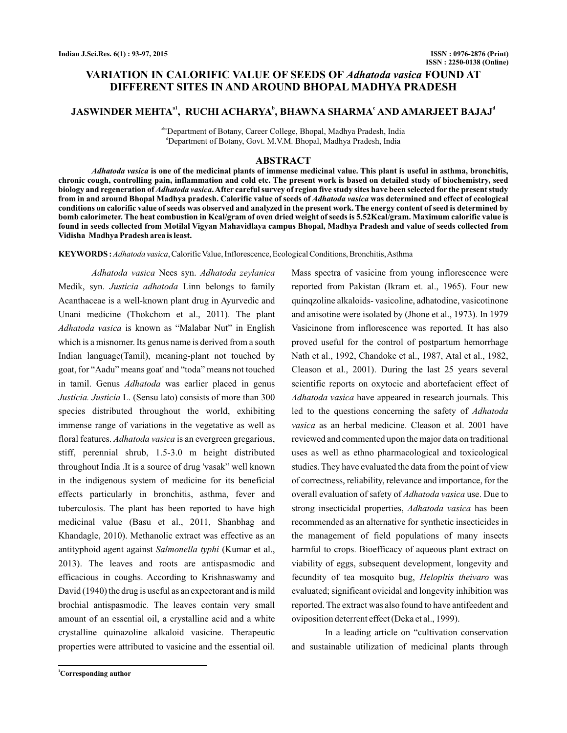# **VARIATION IN CALORIFIC VALUE OF SEEDS OF Adhatoda vasica FOUND AT DIFFERENT SITES IN AND AROUND BHOPAL MADHYA PRADESH**

# **JASWINDER MEHTA<sup>a1</sup>, RUCHI ACHARYA<sup>b</sup>, BHAWNA SHARMA<sup>c</sup> AND AMARJEET BAJAJ<sup>a</sup>**

abc Department of Botany, Career College, Bhopal, Madhya Pradesh, India d Department of Botany, Govt. M.V.M. Bhopal, Madhya Pradesh, India

### **ABSTRACT**

*Adhatoda vasica* **is one of the medicinal plants of immense medicinal value. This plant is useful in asthma, bronchitis,** biology and regeneration of *Adhatoda vasica*. After careful survey of region five study sites have been selected for the present study from in and around Bhopal Madhya pradesh. Calorific value of seeds of *Adhatoda vasica* was determined and effect of ecological **chronic cough, controlling pain, inflammation and cold etc. The present work is based on detailed study of biochemistry, seed conditions on calorific value of seeds was observed and analyzed in the present work. The energy content of seed is determined by bomb calorimeter. The heat combustion in Kcal/gram of oven dried weight of seeds is 5.52Kcal/gram. Maximum calorific value is found in seeds collected from Motilal Vigyan Mahavidlaya campus Bhopal, Madhya Pradesh and value of seeds collected from Vidisha Madhya Pradesh area is least.**

KEYWORDS: Adhatoda vasica, Calorific Value, Inflorescence, Ecological Conditions, Bronchitis, Asthma

Nees syn. *Adhatoda vasica Adhatoda zeylanica* Medik, syn. Justicia adhatoda Linn belongs to family Acanthaceae is a well-known plant drug in Ayurvedic and Unani medicine (Thokchom et al., 2011). The plant Adhatoda vasica is known as "Malabar Nut" in English which is a misnomer. Its genus name is derived from a south Indian language(Tamil), meaning-plant not touched by goat, for "Aadu" means goat' and "toda" means not touched in tamil. Genus *Adhatoda* was earlier placed in genus Justicia. Justicia L. (Sensu lato) consists of more than 300 species distributed throughout the world, exhibiting immense range of variations in the vegetative as well as floral features. Adhatoda vasica is an evergreen gregarious, stiff, perennial shrub, 1.5-3.0 m height distributed throughout India .It is a source of drug 'vasak" well known in the indigenous system of medicine for its beneficial effects particularly in bronchitis, asthma, fever and tuberculosis. The plant has been reported to have high medicinal value (Basu et al., 2011, Shanbhag and Khandagle, 2010). Methanolic extract was effective as an antityphoid agent against Salmonella typhi (Kumar et al., 2013). The leaves and roots are antispasmodic and efficacious in coughs. According to Krishnaswamy and David (1940) the drug is useful as an expectorant and is mild brochial antispasmodic. The leaves contain very small amount of an essential oil, a crystalline acid and a white crystalline quinazoline alkaloid vasicine. Therapeutic properties were attributed to vasicine and the essential oil.

Mass spectra of vasicine from young inflorescence were reported from Pakistan (Ikram et. al., 1965). Four new quinqzoline alkaloids- vasicoline, adhatodine, vasicotinone and anisotine were isolated by (Jhone et al., 1973). In 1979 Vasicinone from inflorescence was reported. It has also proved useful for the control of postpartum hemorrhage Nath et al., 1992, Chandoke et al., 1987, Atal et al., 1982, Cleason et al., 2001). During the last 25 years several scientific reports on oxytocic and abortefacient effect of Adhatoda vasica have appeared in research journals. This led to the questions concerning the safety of *Adhatoda* vasica as an herbal medicine. Cleason et al. 2001 have reviewed and commented upon the major data on traditional uses as well as ethno pharmacological and toxicological studies. They have evaluated the data from the point of view of correctness, reliability, relevance and importance, for the overall evaluation of safety of *Adhatoda vasica* use. Due to strong insecticidal properties, Adhatoda vasica has been recommended as an alternative for synthetic insecticides in the management of field populations of many insects harmful to crops. Bioefficacy of aqueous plant extract on viability of eggs, subsequent development, longevity and fecundity of tea mosquito bug, Helopltis theivaro was evaluated; significant ovicidal and longevity inhibition was reported. The extract was also found to have antifeedent and oviposition deterrent effect (Deka et al., 1999).

In a leading article on "cultivation conservation and sustainable utilization of medicinal plants through

**<sup>1</sup>Corresponding author**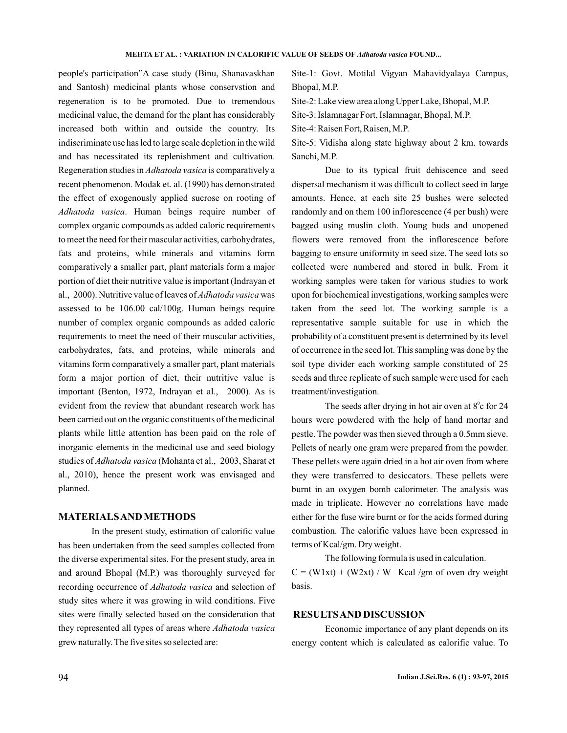people's participation"A case study (Binu, Shanavaskhan and Santosh) medicinal plants whose conservstion and regeneration is to be promoted. Due to tremendous medicinal value, the demand for the plant has considerably increased both within and outside the country. Its indiscriminate use has led to large scale depletion in the wild and has necessitated its replenishment and cultivation. Regeneration studies in *Adhatoda vasica* is comparatively a recent phenomenon. Modak et. al. (1990) has demonstrated the effect of exogenously applied sucrose on rooting of . Human beings require number of *Adhatoda vasica* complex organic compounds as added caloric requirements to meet the need for their mascular activities, carbohydrates, fats and proteins, while minerals and vitamins form comparatively a smaller part, plant materials form a major portion of diet their nutritive value is important (Indrayan et al., 2000). Nutritive value of leaves of *Adhatoda vasica* was assessed to be 106.00 cal/100g. Human beings require number of complex organic compounds as added caloric requirements to meet the need of their muscular activities, carbohydrates, fats, and proteins, while minerals and vitamins form comparatively a smaller part, plant materials form a major portion of diet, their nutritive value is important (Benton, 1972, Indrayan et al., 2000). As is evident from the review that abundant research work has been carried out on the organic constituents of the medicinal plants while little attention has been paid on the role of inorganic elements in the medicinal use and seed biology studies of *Adhatoda vasica* (Mohanta et al., 2003, Sharat et al., 2010), hence the present work was envisaged and planned.

## **MATERIALSAND METHODS**

In the present study, estimation of calorific value has been undertaken from the seed samples collected from the diverse experimental sites. For the present study, area in and around Bhopal (M.P.) was thoroughly surveyed for recording occurrence of *Adhatoda vasica* and selection of study sites where it was growing in wild conditions. Five sites were finally selected based on the consideration that they represented all types of areas where *Adhatoda vasica* grew naturally. The five sites so selected are:

Site-1: Govt. Motilal Vigyan Mahavidyalaya Campus, Bhopal, M.P.

Site-2: Lake view area along Upper Lake, Bhopal, M.P.

Site-3: Islamnagar Fort, Islamnagar, Bhopal, M.P.

Site-4: Raisen Fort, Raisen, M.P.

Site-5: Vidisha along state highway about 2 km. towards Sanchi, M.P.

Due to its typical fruit dehiscence and seed dispersal mechanism it was difficult to collect seed in large amounts. Hence, at each site 25 bushes were selected randomly and on them 100 inflorescence (4 per bush) were bagged using muslin cloth. Young buds and unopened flowers were removed from the inflorescence before bagging to ensure uniformity in seed size. The seed lots so collected were numbered and stored in bulk. From it working samples were taken for various studies to work upon for biochemical investigations, working samples were taken from the seed lot. The working sample is a representative sample suitable for use in which the probability of a constituent present is determined by its level of occurrence in the seed lot. This sampling was done by the soil type divider each working sample constituted of 25 seeds and three replicate of such sample were used for each treatment/investigation.

The seeds after drying in hot air oven at  $8^\circ$ c for 24 hours were powdered with the help of hand mortar and pestle. The powder was then sieved through a 0.5mm sieve. Pellets of nearly one gram were prepared from the powder. These pellets were again dried in a hot air oven from where they were transferred to desiccators. These pellets were burnt in an oxygen bomb calorimeter. The analysis was made in triplicate. However no correlations have made either for the fuse wire burnt or for the acids formed during combustion. The calorific values have been expressed in terms of Kcal/gm. Dry weight.

The following formula is used in calculation.

 $C = (W1xt) + (W2xt) / W$  Kcal/gm of oven dry weight basis.

#### **RESULTSAND DISCUSSION**

Economic importance of any plant depends on its energy content which is calculated as calorific value. To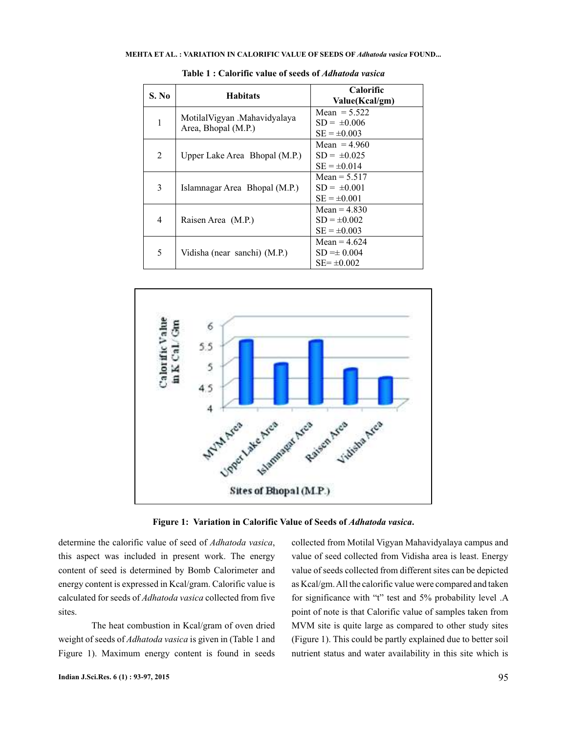| S. No          | <b>Habitats</b>                                     | <b>Calorific</b><br>Value(Kcal/gm) |
|----------------|-----------------------------------------------------|------------------------------------|
| 1              | MotilalVigyan .Mahavidyalaya<br>Area, Bhopal (M.P.) | Mean $= 5.522$<br>$SD = \pm 0.006$ |
|                |                                                     | $SE = \pm 0.003$                   |
| $\mathfrak{D}$ | Upper Lake Area Bhopal (M.P.)                       | Mean $= 4.960$                     |
|                |                                                     | $SD = \pm 0.025$                   |
|                |                                                     | $SE = \pm 0.014$                   |
| 3              | Islamnagar Area Bhopal (M.P.)                       | Mean = $5.517$                     |
|                |                                                     | $SD = \pm 0.001$                   |
|                |                                                     | $SE = \pm 0.001$                   |
| 4              | Raisen Area (M.P.)                                  | Mean $= 4.830$                     |
|                |                                                     | $SD = \pm 0.002$                   |
|                |                                                     | $SE = \pm 0.003$                   |
| 5              | Vidisha (near sanchi) (M.P.)                        | Mean = $4.624$                     |
|                |                                                     | $SD = \pm 0.004$                   |
|                |                                                     | $SE = \pm 0.002$                   |

**Table 1 : Calorific value of seeds of** *Adhatoda vasica*



Figure 1: Variation in Calorific Value of Seeds of *Adhatoda vasica*.

determine the calorific value of seed of *Adhatoda vasica*, this aspect was included in present work. The energy content of seed is determined by Bomb Calorimeter and energy content is expressed in Kcal/gram. Calorific value is calculated for seeds of *Adhatoda vasica* collected from five sites.

The heat combustion in Kcal/gram of oven dried weight of seeds of *Adhatoda vasica* is given in (Table 1 and Figure 1). Maximum energy content is found in seeds collected from Motilal Vigyan Mahavidyalaya campus and value of seed collected from Vidisha area is least. Energy value of seeds collected from different sites can be depicted as Kcal/gm.All the calorific value were compared and taken for significance with "t" test and 5% probability level .A point of note is that Calorific value of samples taken from MVM site is quite large as compared to other study sites (Figure 1). This could be partly explained due to better soil nutrient status and water availability in this site which is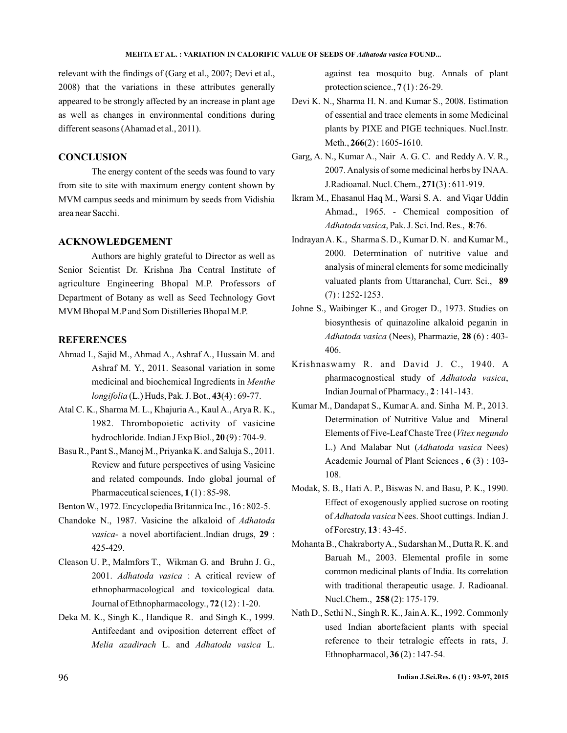#### **MEHTA ET AL. : VARIATION IN CALORIFIC VALUE OF SEEDS OF Adhatoda vasica FOUND...**

relevant with the findings of (Garg et al., 2007; Devi et al., 2008) that the variations in these attributes generally appeared to be strongly affected by an increase in plant age as well as changes in environmental conditions during different seasons (Ahamad et al., 2011).

## **CONCLUSION**

The energy content of the seeds was found to vary from site to site with maximum energy content shown by MVM campus seeds and minimum by seeds from Vidishia area near Sacchi.

#### **ACKNOWLEDGEMENT**

Authors are highly grateful to Director as well as Senior Scientist Dr. Krishna Jha Central Institute of agriculture Engineering Bhopal M.P. Professors of Department of Botany as well as Seed Technology Govt MVM Bhopal M.Pand Som Distilleries Bhopal M.P.

## **REFERENCES**

- Ahmad I., Sajid M., Ahmad A., Ashraf A., Hussain M. and Ashraf M. Y., 2011. Seasonal variation in some medicinal and biochemical Ingredients in *Menthe* (L.) Huds, Pak. J. Bot., (4) : 69-77. *longifolia* **43**
- Atal C. K., Sharma M. L., Khajuria A., Kaul A., Arya R. K., 1982. Thrombopoietic activity of vasicine hydrochloride. Indian J Exp Biol., **20**(9): 704-9.
- Basu R., Pant S., Manoj M., Priyanka K. and Saluja S., 2011. Review and future perspectives of using Vasicine and related compounds. Indo global journal of Pharmaceutical sciences,  $1(1)$ : 85-98.
- Benton W., 1972. Encyclopedia Britannica Inc., 16 : 802-5.
- Chandoke N., 1987. Vasicine the alkaloid of *Adhatoda* vasica- a novel abortifacient..Indian drugs, 29 : 425-429.
- Cleason U. P., Malmfors T., Wikman G. and Bruhn J. G., 2001. Adhatoda vasica : A critical review of ethnopharmacological and toxicological data. Journal of Ethnopharmacology., **72** (12): 1-20.
- Deka M. K., Singh K., Handique R. and Singh K., 1999. Antifeedant and oviposition deterrent effect of Melia azadirach L. and Adhatoda vasica L.

against tea mosquito bug. Annals of plant protection science.,  $7(1)$ : 26-29.

- Devi K. N., Sharma H. N. and Kumar S., 2008. Estimation of essential and trace elements in some Medicinal plants by PIXE and PIGE techniques. Nucl.Instr. Meth., **266**(2): 1605-1610.
- Garg, A. N., Kumar A., Nair A. G. C. and Reddy A. V. R., 2007. Analysis of some medicinal herbs by INAA. J.Radioanal. Nucl. Chem., 271(3): 611-919.
- Ikram M., Ehasanul Haq M., Warsi S. A. and Viqar Uddin Ahmad., 1965. - Chemical composition of Adhatoda vasica, Pak. J. Sci. Ind. Res., 8:76.
- IndrayanA. K., Sharma S. D., Kumar D. N. and Kumar M., 2000. Determination of nutritive value and analysis of mineral elements for some medicinally valuated plants from Uttaranchal, Curr. Sci., **89** (7) : 1252-1253.
- Johne S., Waibinger K., and Groger D., 1973. Studies on biosynthesis of quinazoline alkaloid peganin in Adhatoda vasica (Nees), Pharmazie, 28 (6): 403-406.
- Krishnaswamy R. and David J. C., 1940. A pharmacognostical study of , *Adhatoda vasica* Indian Journal of Pharmacy., **2** : 141-143.
- Kumar M., Dandapat S., Kumar A. and. Sinha M. P., 2013. Determination of Nutritive Value and Mineral Elements of Five-Leaf Chaste Tree ( *Vitex negundo* L.) And Malabar Nut (Adhatoda vasica Nees) Academic Journal of Plant Sciences, 6(3): 103-108.
- Modak, S. B., Hati A. P., Biswas N. and Basu, P. K., 1990. Effect of exogenously applied sucrose on rooting of Adhatoda vasica Nees. Shoot cuttings. Indian J. of Forestry, 13:43-45.
- Mohanta B., ChakrabortyA., Sudarshan M., Dutta R. K. and Baruah M., 2003. Elemental profile in some common medicinal plants of India. Its correlation with traditional therapeutic usage. J. Radioanal. Nucl.Chem., 258(2): 175-179.
- Nath D., Sethi N., Singh R. K., JainA. K., 1992. Commonly used Indian abortefacient plants with special reference to their tetralogic effects in rats, J. Ethnopharmacol, **36**(2): 147-54.